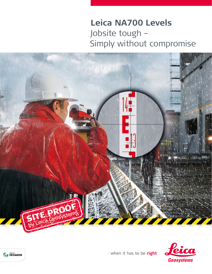# Leica NA700 Levels Jobsite tough -Simply without compromise





- when it has to be right

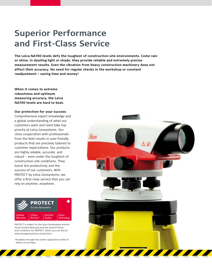#### **Superior Performance and First-Class Service**

**The Leica NA700 levels defy the toughest of construction-site environments. Come rain or shine, in dazzling light or shade, they provide reliable and extremely precise measurement results. Even the vibration from heavy construction machinery does not affect their accuracy. No need for regular checks in the workshop or constant readjustment – saving time and money!**

**When it comes to extreme robustness and optimum measuring accuracy, the Leica NA700 levels are hard to beat.**

#### **Our protection for your success**

Comprehensive expert knowledge and a global understanding of what our customers want and need take top priority at Leica Geosystems. Our close cooperation with professionals from the field results in user-friendly products that are precisely tailored to customer expectations. Our products are highly reliable, accurate, and robust – even under the toughest of construction-site conditions. They boost the productivity and the success of our customers. With PROTECT by Leica Geosystems, we offer a first-class service that you can rely on anytime, anywhere.



PROTECT is subject to the Leica Geosystems International Limited Warranty and the General Terms and Conditions for PROTECT, which you can find at: www.leicageosystems.com/protect.

\*Available through free online registration within 8 weeks of purchase.

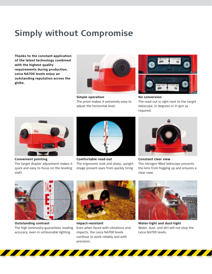#### **Simply without Compromise**

**Thanks to the constant application of the latest technology combined with the highest quality requirements during production, Leica NA700 levels enjoy an outstanding reputation across the globe.** 



**Simple operation** The prism makes it extremely easy to adjust the horizontal level.



**No conversion** The read-out is right next to the target telescope, in degrees or in gon as required.



**Convenient pointing** The target diopter adjustment makes it quick and easy to focus on the leveling

staff.



**Comfortable read-out** The ergonomic look and sharp, upright image prevent eyes from quickly tiring.



**Constant clear view** The nitrogen-filled telescope prevents the lens from fogging up and ensures a clear view.



**Outstanding contrast** The high luminosity guarantees reading accuracy, even in unfavorable lighting.



**Impact-resistant** Even when faced with vibrations and impacts, the Leica NA700 levels continue to work reliably and with precision.



**Water-tight and dust-tight** Water, dust, and dirt will not stop the Leica NA700 levels.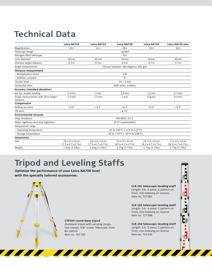# **Technical Data**

|                                                | Leica NA720                                                      | Leica NA724                                                      | Leica NA728                                                      | Leica NA730                                                      | Leica NA730 plus                                                 |
|------------------------------------------------|------------------------------------------------------------------|------------------------------------------------------------------|------------------------------------------------------------------|------------------------------------------------------------------|------------------------------------------------------------------|
| Magnification                                  | $20 \times$                                                      | 24x                                                              | $28\times$                                                       | $30\times$                                                       | $30\times$                                                       |
| Telescope image                                | Upright                                                          |                                                                  |                                                                  |                                                                  |                                                                  |
| Nitrogen-filled telescope                      | Yes                                                              |                                                                  |                                                                  |                                                                  |                                                                  |
| Lens diameter                                  | 30 <sub>mm</sub>                                                 | 36mm                                                             | 40 mm                                                            | $40 \,\mathrm{mm}$                                               | $40 \,\mathrm{mm}$                                               |
| Shortest target distance                       | 0.5 <sub>m</sub>                                                 | 0.5 <sub>m</sub>                                                 | 0.5 <sub>m</sub>                                                 | 0.7 <sub>m</sub>                                                 | 0.7 <sub>m</sub>                                                 |
| Angle measurement                              | Choose between 360 degrees/400 gon                               |                                                                  |                                                                  |                                                                  |                                                                  |
| <b>Distance measurement</b>                    |                                                                  |                                                                  |                                                                  |                                                                  |                                                                  |
| - Multiplication factor                        | 100                                                              |                                                                  |                                                                  |                                                                  |                                                                  |
| - Additive constant                            | $\mathbf 0$                                                      |                                                                  |                                                                  |                                                                  |                                                                  |
| Circular level                                 | $10'$ / $2$ mm                                                   |                                                                  |                                                                  |                                                                  |                                                                  |
| Horizontal drive                               | Both sides, endless                                              |                                                                  |                                                                  |                                                                  |                                                                  |
| Accuracy (standard deviation)                  |                                                                  |                                                                  |                                                                  |                                                                  |                                                                  |
| per km double leveling                         | 2.5 <sub>mm</sub>                                                | 2mm                                                              | 1.5 <sub>mm</sub>                                                | 1.2 <sub>mm</sub>                                                | $0.7$ mm                                                         |
| Single measurement with 30m target<br>distance | 1.5 <sub>mm</sub>                                                | 1.2 <sub>mm</sub>                                                | 1 <sub>mm</sub>                                                  | 0.8 <sub>mm</sub>                                                | 0.4 <sub>mm</sub>                                                |
| Compensator                                    |                                                                  |                                                                  |                                                                  |                                                                  |                                                                  |
| Setting accuracy                               | 0.5"                                                             | 0.5"                                                             | 0.3"                                                             | 0.3"                                                             | 0.3"                                                             |
| Tilt area                                      | ± 15'                                                            |                                                                  |                                                                  |                                                                  |                                                                  |
| <b>Environmental stresses</b>                  |                                                                  |                                                                  |                                                                  |                                                                  |                                                                  |
| Drop resistance                                | ISO 9022-33-5                                                    |                                                                  |                                                                  |                                                                  |                                                                  |
| Water-tightness and dust-tightness             | IP 57 (submersible)                                              |                                                                  |                                                                  |                                                                  |                                                                  |
| Temperature range                              |                                                                  |                                                                  |                                                                  |                                                                  |                                                                  |
| - Operating temperature                        | $-20$ to +50 °C ( $-4$ °F to 122 °F)                             |                                                                  |                                                                  |                                                                  |                                                                  |
| - Storage temperature                          | -40 to +70°C (-40°F to 158°F)                                    |                                                                  |                                                                  |                                                                  |                                                                  |
| <b>Dimensions</b>                              |                                                                  |                                                                  |                                                                  |                                                                  |                                                                  |
| Size                                           | $19 \times 12 \times 12$ cm<br>$(7.5 \times 4.7 \times 4.7)$ in) | $19 \times 12 \times 12$ cm<br>$(7.5 \times 4.7 \times 4.7)$ in) | $21 \times 12 \times 12$ cm<br>$(8.3 \times 4.7 \times 4.7)$ in) | $21 \times 12 \times 12$ cm<br>$(8.3 \times 4.7 \times 4.7)$ in) | $21 \times 12 \times 12$ cm<br>$(8.3 \times 4.7 \times 4.7)$ in) |
| Weight                                         | 1.6 kg (3.5 lbs)                                                 | 1.6 kg (3.5 lbs)                                                 | 1.7 kg (3.7 lbs)                                                 | 1.7 kg (3.7 lbs)                                                 | 1.7 kg (3.7 lbs)                                                 |

# **Tripod and Leveling Staffs**

**Optimize the performance of your Leica NA700 level with the specially tailored accessories.**

> **CLR 101 telescopic leveling staff** Length: 4m, 4-piece, E pattern on front, mm indexing on reverse Item no. 727587

> **CLR 102 telescopic leveling staff** Length: 5m, 4-piece, E pattern on front, mm indexing on reverse Item no. 727588

> **CLR 104 telescopic leveling staff** Length: 5m, 5-piece, E pattern on front, mm indexing on reverse Item no. 743420

**CTP104 round-base tripod**

Aluminum tripod with carrying straps, fast clamps, 5/8" screw. Telescopic from 85–160cm Item no. 767710

**All Manufacturers** 

**The Contract of the Contract of the Contract of the Contract of the Contract of the Contract of the Contract o**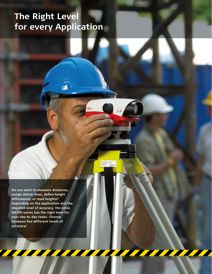# **The Right Level for every Application**

**Do you want to measure distances, assign datum lines, define height differences, or read heights? Depending on the application and the required level of accuracy, the Leica NA700 series has the right level for your day-to-day tasks. Choose between five different levels of accuracy!**

 $k$